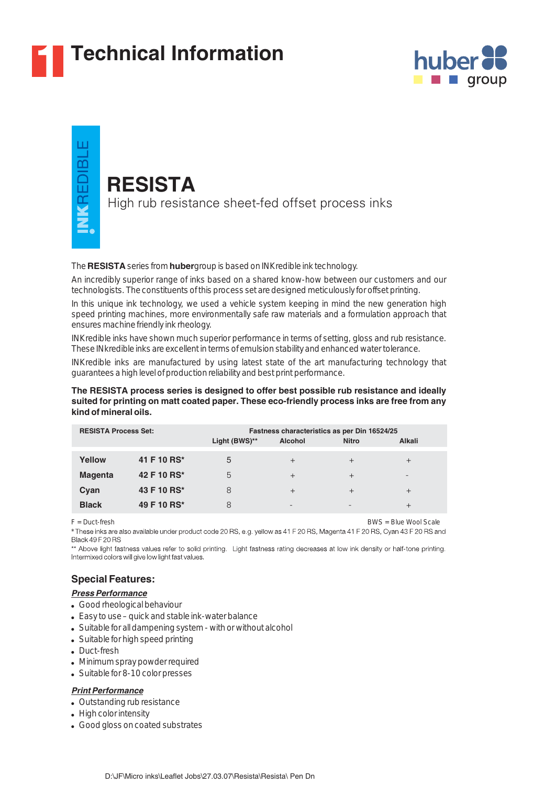

# **1 Technical Information**





## **RESISTA**

High rub resistance sheet-fed offset process inks

The RESISTA series from hubergroup is based on INKredible ink technology.

An incredibly superior range of inks based on a shared know-how between our customers and our technologists. The constituents of this process set are designed meticulously for offset printing.

In this unique ink technology, we used a vehicle system keeping in mind the new generation high speed printing machines, more environmentally safe raw materials and a formulation approach that ensures machine friendly ink rheology.

INKredible inks have shown much superior performance in terms of setting, gloss and rub resistance. These INkredible inks are excellent in terms of emulsion stability and enhanced water tolerance.

INKredible inks are manufactured by using latest state of the art manufacturing technology that guarantees a high level of production reliability and best print performance.

#### **The RESISTA process series is designed to offer best possible rub resistance and ideally suited for printing on matt coated paper. These eco-friendly process inks are free from any kind of mineral oils.**

| <b>RESISTA Process Set:</b> |             | Fastness characteristics as per Din 16524/25 |                |              |                 |
|-----------------------------|-------------|----------------------------------------------|----------------|--------------|-----------------|
|                             |             | Light (BWS)**                                | <b>Alcohol</b> | <b>Nitro</b> | Alkali          |
| Yellow                      | 41 F 10 RS* | 5                                            | $^{+}$         | $^{+}$       | $^{+}$          |
| <b>Magenta</b>              | 42 F 10 RS* | 5                                            | $^{+}$         | $^{+}$       | $\qquad \qquad$ |
| Cyan                        | 43 F 10 RS* | 8                                            | $^{+}$         | $\pm$        | $^{+}$          |
| <b>Black</b>                | 49 F 10 RS* | 8                                            | -              |              |                 |

F = Duct-fresh BWS = Blue Wool Scale \* These inks are also available under product code 20 RS, e.g. yellow as 41 F 20 RS, Magenta 41 F 20 RS, Cyan 43 F 20 RS and **Black 49 F 20 BS** 

\*\* Above light fastness values refer to solid printing. Light fastness rating decreases at low ink density or half-tone printing. Intermixed colors will give low light fast values.

## **Special Features:**

#### *Press Performance*

- Good rheological behaviour
- Easy to use quick and stable ink-water balance
- Suitable for all dampening system with or without alcohol
- Suitable for high speed printing
- Duct-fresh
- Minimum spray powder required
- Suitable for 8-10 color presses

#### *Print Performance*

- Outstanding rub resistance
- High color intensity
- Good gloss on coated substrates